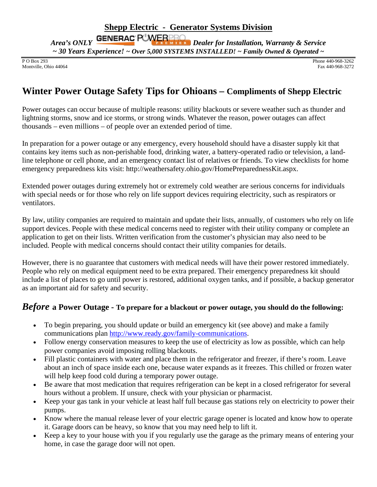P O Box 293<br>
Montville, Ohio 44064<br>
Fax 440-968-3272 Montville, Ohio 44064

## **Winter Power Outage Safety Tips for Ohioans – Compliments of Shepp Electric**

Power outages can occur because of multiple reasons: utility blackouts or severe weather such as thunder and lightning storms, snow and ice storms, or strong winds. Whatever the reason, power outages can affect thousands – even millions – of people over an extended period of time.

In preparation for a power outage or any emergency, every household should have a disaster supply kit that contains key items such as non-perishable food, drinking water, a battery-operated radio or television, a landline telephone or cell phone, and an emergency contact list of relatives or friends. To view checklists for home emergency preparedness kits visit: http://weathersafety.ohio.gov/HomePreparednessKit.aspx.

Extended power outages during extremely hot or extremely cold weather are serious concerns for individuals with special needs or for those who rely on life support devices requiring electricity, such as respirators or ventilators.

By law, utility companies are required to maintain and update their lists, annually, of customers who rely on life support devices. People with these medical concerns need to register with their utility company or complete an application to get on their lists. Written verification from the customer's physician may also need to be included. People with medical concerns should contact their utility companies for details.

However, there is no guarantee that customers with medical needs will have their power restored immediately. People who rely on medical equipment need to be extra prepared. Their emergency preparedness kit should include a list of places to go until power is restored, additional oxygen tanks, and if possible, a backup generator as an important aid for safety and security.

## *Before* **a Power Outage - To prepare for a blackout or power outage, you should do the following:**

- To begin preparing, you should update or build an emergency kit (see above) and make a family communications plan [http://www.ready.gov/family-communications.](http://www.ready.gov/family-communications)
- Follow energy conservation measures to keep the use of electricity as low as possible, which can help power companies avoid imposing rolling blackouts.
- Fill plastic containers with water and place them in the refrigerator and freezer, if there's room. Leave about an inch of space inside each one, because water expands as it freezes. This chilled or frozen water will help keep food cold during a temporary power outage.
- Be aware that most medication that requires refrigeration can be kept in a closed refrigerator for several hours without a problem. If unsure, check with your physician or pharmacist.
- Keep your gas tank in your vehicle at least half full because gas stations rely on electricity to power their pumps.
- Know where the manual release lever of your electric garage opener is located and know how to operate it. Garage doors can be heavy, so know that you may need help to lift it.
- Keep a key to your house with you if you regularly use the garage as the primary means of entering your home, in case the garage door will not open.